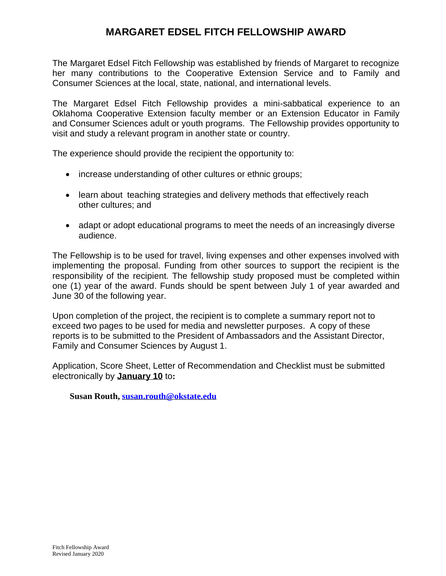## **MARGARET EDSEL FITCH FELLOWSHIP AWARD**

The Margaret Edsel Fitch Fellowship was established by friends of Margaret to recognize her many contributions to the Cooperative Extension Service and to Family and Consumer Sciences at the local, state, national, and international levels.

The Margaret Edsel Fitch Fellowship provides a mini-sabbatical experience to an Oklahoma Cooperative Extension faculty member or an Extension Educator in Family and Consumer Sciences adult or youth programs. The Fellowship provides opportunity to visit and study a relevant program in another state or country.

The experience should provide the recipient the opportunity to:

- increase understanding of other cultures or ethnic groups;
- learn about teaching strategies and delivery methods that effectively reach other cultures; and
- adapt or adopt educational programs to meet the needs of an increasingly diverse audience.

The Fellowship is to be used for travel, living expenses and other expenses involved with implementing the proposal. Funding from other sources to support the recipient is the responsibility of the recipient. The fellowship study proposed must be completed within one (1) year of the award. Funds should be spent between July 1 of year awarded and June 30 of the following year.

Upon completion of the project, the recipient is to complete a summary report not to exceed two pages to be used for media and newsletter purposes. A copy of these reports is to be submitted to the President of Ambassadors and the Assistant Director, Family and Consumer Sciences by August 1.

Application, Score Sheet, Letter of Recommendation and Checklist must be submitted electronically by **January 10** to**:**

**Susan Routh, [susan.routh@okstate.edu](mailto:susan.routh@okstate.edu)**